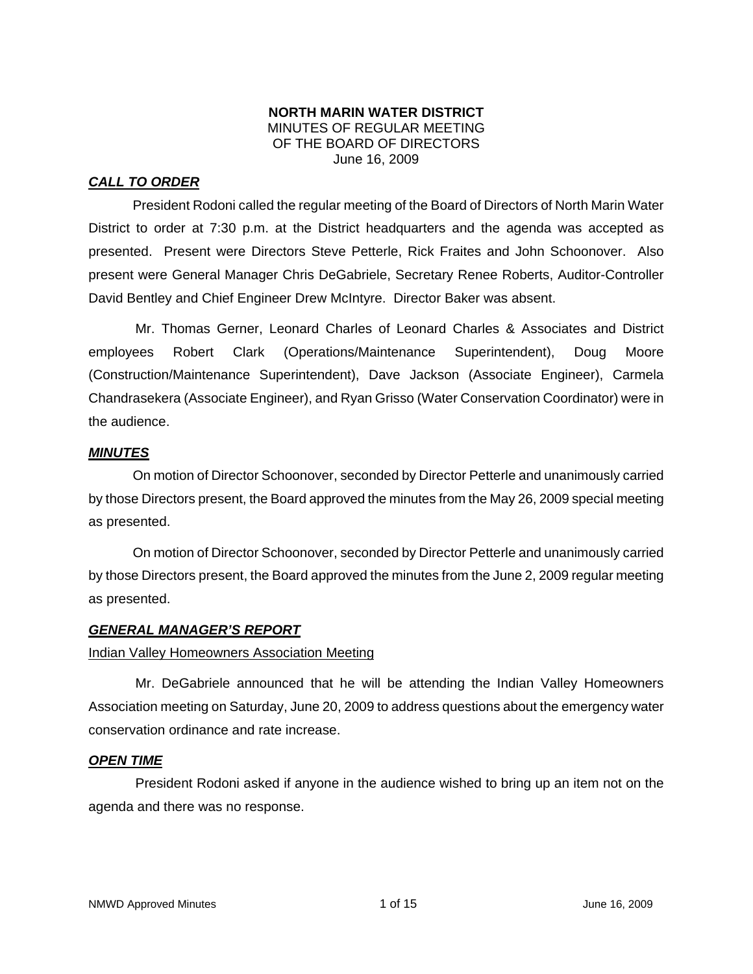### **NORTH MARIN WATER DISTRICT**  MINUTES OF REGULAR MEETING OF THE BOARD OF DIRECTORS June 16, 2009

# *CALL TO ORDER*

President Rodoni called the regular meeting of the Board of Directors of North Marin Water District to order at 7:30 p.m. at the District headquarters and the agenda was accepted as presented. Present were Directors Steve Petterle, Rick Fraites and John Schoonover. Also present were General Manager Chris DeGabriele, Secretary Renee Roberts, Auditor-Controller David Bentley and Chief Engineer Drew McIntyre. Director Baker was absent.

Mr. Thomas Gerner, Leonard Charles of Leonard Charles & Associates and District employees Robert Clark (Operations/Maintenance Superintendent), Doug Moore (Construction/Maintenance Superintendent), Dave Jackson (Associate Engineer), Carmela Chandrasekera (Associate Engineer), and Ryan Grisso (Water Conservation Coordinator) were in the audience.

## *MINUTES*

 On motion of Director Schoonover, seconded by Director Petterle and unanimously carried by those Directors present, the Board approved the minutes from the May 26, 2009 special meeting as presented.

 On motion of Director Schoonover, seconded by Director Petterle and unanimously carried by those Directors present, the Board approved the minutes from the June 2, 2009 regular meeting as presented.

### *GENERAL MANAGER'S REPORT*

# Indian Valley Homeowners Association Meeting

Mr. DeGabriele announced that he will be attending the Indian Valley Homeowners Association meeting on Saturday, June 20, 2009 to address questions about the emergency water conservation ordinance and rate increase.

### *OPEN TIME*

President Rodoni asked if anyone in the audience wished to bring up an item not on the agenda and there was no response.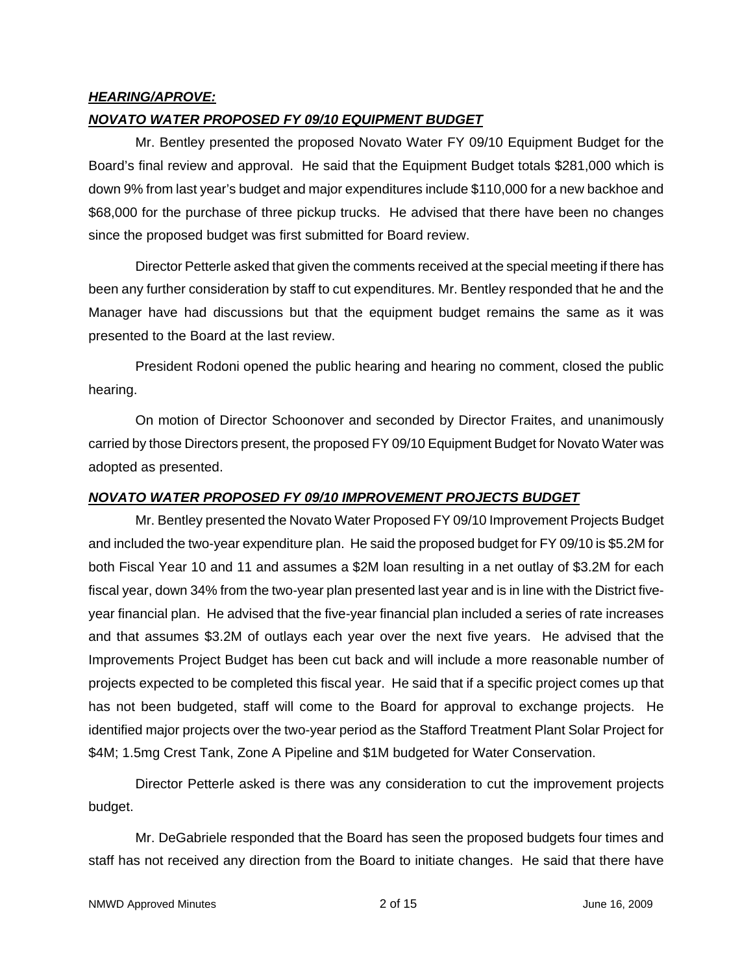### *HEARING/APROVE:*

### *NOVATO WATER PROPOSED FY 09/10 EQUIPMENT BUDGET*

Mr. Bentley presented the proposed Novato Water FY 09/10 Equipment Budget for the Board's final review and approval. He said that the Equipment Budget totals \$281,000 which is down 9% from last year's budget and major expenditures include \$110,000 for a new backhoe and \$68,000 for the purchase of three pickup trucks. He advised that there have been no changes since the proposed budget was first submitted for Board review.

Director Petterle asked that given the comments received at the special meeting if there has been any further consideration by staff to cut expenditures. Mr. Bentley responded that he and the Manager have had discussions but that the equipment budget remains the same as it was presented to the Board at the last review.

President Rodoni opened the public hearing and hearing no comment, closed the public hearing.

On motion of Director Schoonover and seconded by Director Fraites, and unanimously carried by those Directors present, the proposed FY 09/10 Equipment Budget for Novato Water was adopted as presented.

#### *NOVATO WATER PROPOSED FY 09/10 IMPROVEMENT PROJECTS BUDGET*

Mr. Bentley presented the Novato Water Proposed FY 09/10 Improvement Projects Budget and included the two-year expenditure plan. He said the proposed budget for FY 09/10 is \$5.2M for both Fiscal Year 10 and 11 and assumes a \$2M loan resulting in a net outlay of \$3.2M for each fiscal year, down 34% from the two-year plan presented last year and is in line with the District fiveyear financial plan. He advised that the five-year financial plan included a series of rate increases and that assumes \$3.2M of outlays each year over the next five years. He advised that the Improvements Project Budget has been cut back and will include a more reasonable number of projects expected to be completed this fiscal year. He said that if a specific project comes up that has not been budgeted, staff will come to the Board for approval to exchange projects. He identified major projects over the two-year period as the Stafford Treatment Plant Solar Project for \$4M; 1.5mg Crest Tank, Zone A Pipeline and \$1M budgeted for Water Conservation.

Director Petterle asked is there was any consideration to cut the improvement projects budget.

Mr. DeGabriele responded that the Board has seen the proposed budgets four times and staff has not received any direction from the Board to initiate changes. He said that there have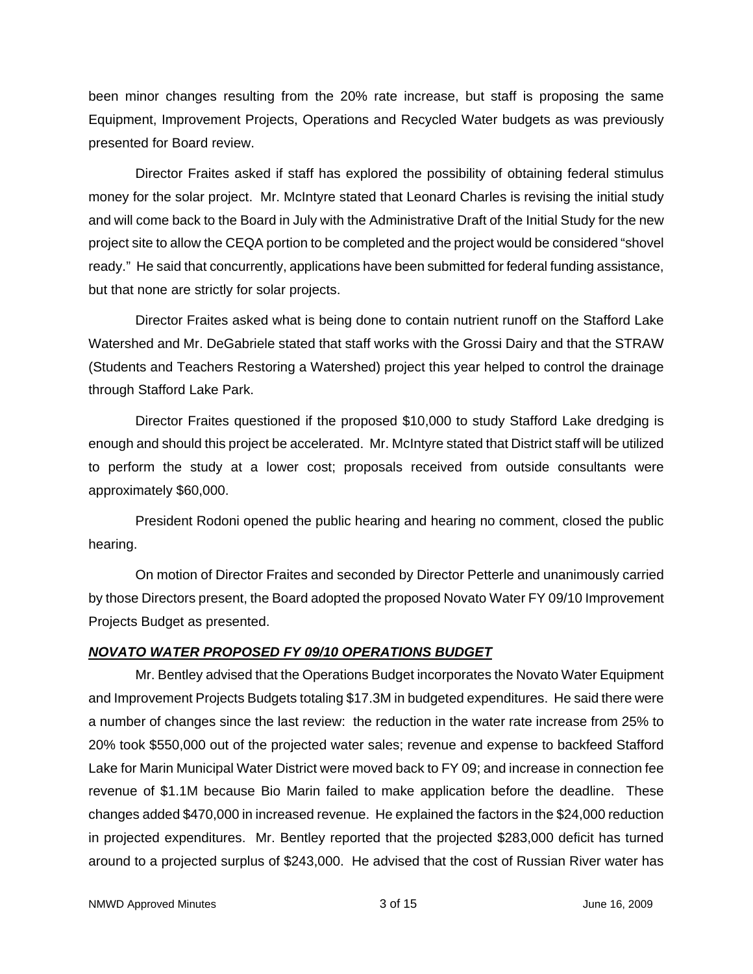been minor changes resulting from the 20% rate increase, but staff is proposing the same Equipment, Improvement Projects, Operations and Recycled Water budgets as was previously presented for Board review.

Director Fraites asked if staff has explored the possibility of obtaining federal stimulus money for the solar project. Mr. McIntyre stated that Leonard Charles is revising the initial study and will come back to the Board in July with the Administrative Draft of the Initial Study for the new project site to allow the CEQA portion to be completed and the project would be considered "shovel ready." He said that concurrently, applications have been submitted for federal funding assistance, but that none are strictly for solar projects.

Director Fraites asked what is being done to contain nutrient runoff on the Stafford Lake Watershed and Mr. DeGabriele stated that staff works with the Grossi Dairy and that the STRAW (Students and Teachers Restoring a Watershed) project this year helped to control the drainage through Stafford Lake Park.

Director Fraites questioned if the proposed \$10,000 to study Stafford Lake dredging is enough and should this project be accelerated. Mr. McIntyre stated that District staff will be utilized to perform the study at a lower cost; proposals received from outside consultants were approximately \$60,000.

President Rodoni opened the public hearing and hearing no comment, closed the public hearing.

On motion of Director Fraites and seconded by Director Petterle and unanimously carried by those Directors present, the Board adopted the proposed Novato Water FY 09/10 Improvement Projects Budget as presented.

# *NOVATO WATER PROPOSED FY 09/10 OPERATIONS BUDGET*

Mr. Bentley advised that the Operations Budget incorporates the Novato Water Equipment and Improvement Projects Budgets totaling \$17.3M in budgeted expenditures. He said there were a number of changes since the last review: the reduction in the water rate increase from 25% to 20% took \$550,000 out of the projected water sales; revenue and expense to backfeed Stafford Lake for Marin Municipal Water District were moved back to FY 09; and increase in connection fee revenue of \$1.1M because Bio Marin failed to make application before the deadline. These changes added \$470,000 in increased revenue. He explained the factors in the \$24,000 reduction in projected expenditures. Mr. Bentley reported that the projected \$283,000 deficit has turned around to a projected surplus of \$243,000. He advised that the cost of Russian River water has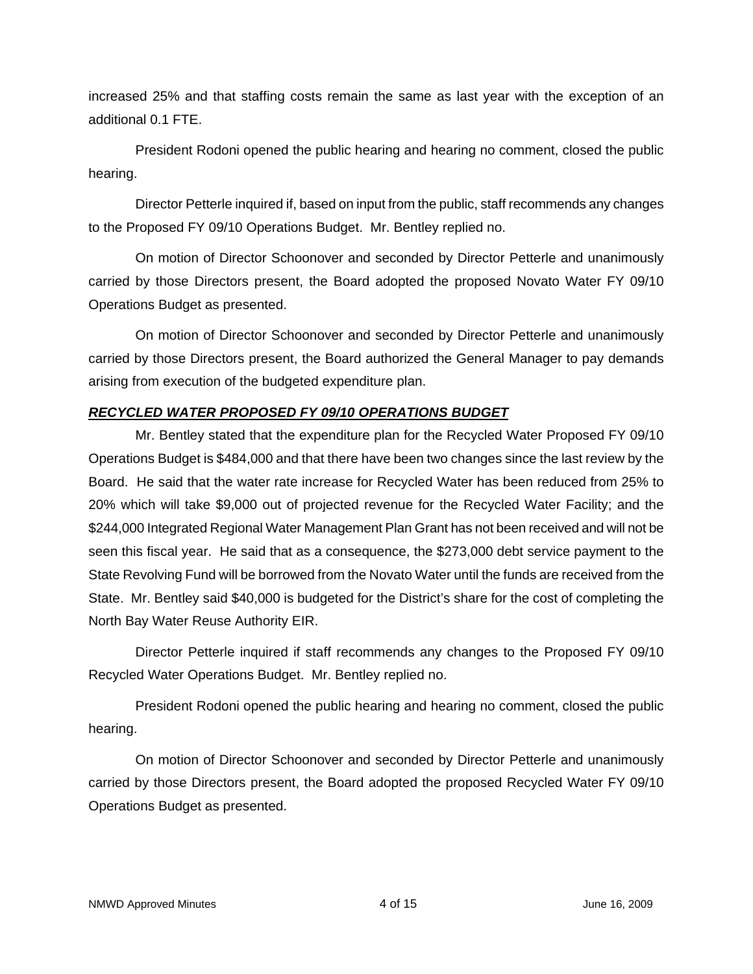increased 25% and that staffing costs remain the same as last year with the exception of an additional 0.1 FTE.

President Rodoni opened the public hearing and hearing no comment, closed the public hearing.

Director Petterle inquired if, based on input from the public, staff recommends any changes to the Proposed FY 09/10 Operations Budget. Mr. Bentley replied no.

On motion of Director Schoonover and seconded by Director Petterle and unanimously carried by those Directors present, the Board adopted the proposed Novato Water FY 09/10 Operations Budget as presented.

On motion of Director Schoonover and seconded by Director Petterle and unanimously carried by those Directors present, the Board authorized the General Manager to pay demands arising from execution of the budgeted expenditure plan.

# *RECYCLED WATER PROPOSED FY 09/10 OPERATIONS BUDGET*

Mr. Bentley stated that the expenditure plan for the Recycled Water Proposed FY 09/10 Operations Budget is \$484,000 and that there have been two changes since the last review by the Board. He said that the water rate increase for Recycled Water has been reduced from 25% to 20% which will take \$9,000 out of projected revenue for the Recycled Water Facility; and the \$244,000 Integrated Regional Water Management Plan Grant has not been received and will not be seen this fiscal year. He said that as a consequence, the \$273,000 debt service payment to the State Revolving Fund will be borrowed from the Novato Water until the funds are received from the State. Mr. Bentley said \$40,000 is budgeted for the District's share for the cost of completing the North Bay Water Reuse Authority EIR.

Director Petterle inquired if staff recommends any changes to the Proposed FY 09/10 Recycled Water Operations Budget. Mr. Bentley replied no.

President Rodoni opened the public hearing and hearing no comment, closed the public hearing.

On motion of Director Schoonover and seconded by Director Petterle and unanimously carried by those Directors present, the Board adopted the proposed Recycled Water FY 09/10 Operations Budget as presented.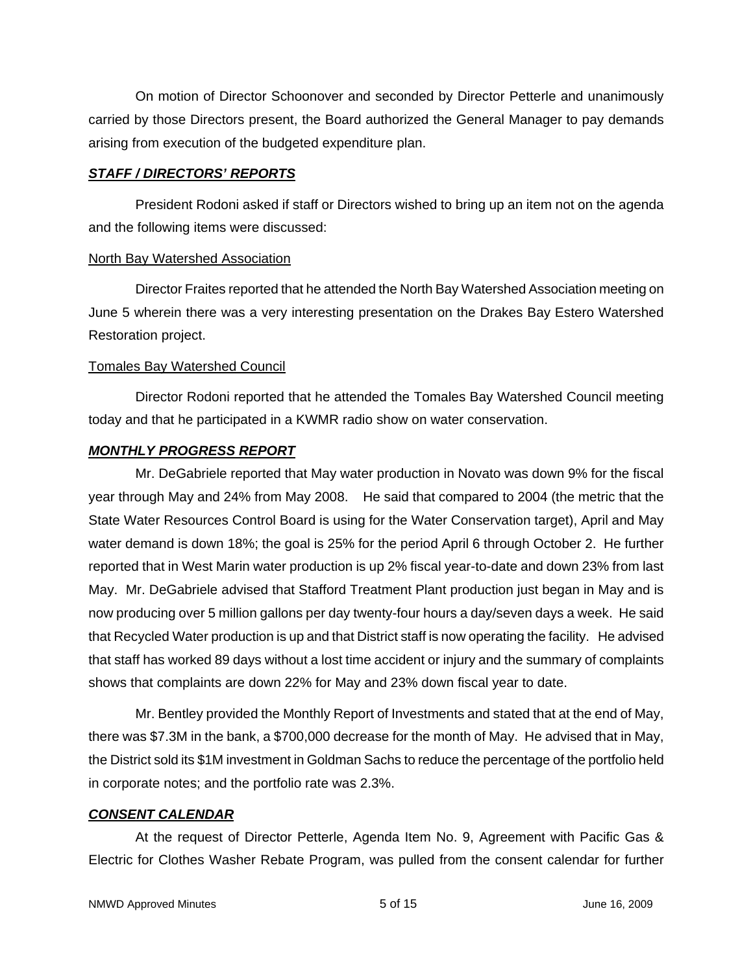On motion of Director Schoonover and seconded by Director Petterle and unanimously carried by those Directors present, the Board authorized the General Manager to pay demands arising from execution of the budgeted expenditure plan.

#### *STAFF / DIRECTORS' REPORTS*

President Rodoni asked if staff or Directors wished to bring up an item not on the agenda and the following items were discussed:

#### North Bay Watershed Association

Director Fraites reported that he attended the North Bay Watershed Association meeting on June 5 wherein there was a very interesting presentation on the Drakes Bay Estero Watershed Restoration project.

#### Tomales Bay Watershed Council

Director Rodoni reported that he attended the Tomales Bay Watershed Council meeting today and that he participated in a KWMR radio show on water conservation.

### *MONTHLY PROGRESS REPORT*

Mr. DeGabriele reported that May water production in Novato was down 9% for the fiscal year through May and 24% from May 2008. He said that compared to 2004 (the metric that the State Water Resources Control Board is using for the Water Conservation target), April and May water demand is down 18%; the goal is 25% for the period April 6 through October 2. He further reported that in West Marin water production is up 2% fiscal year-to-date and down 23% from last May. Mr. DeGabriele advised that Stafford Treatment Plant production just began in May and is now producing over 5 million gallons per day twenty-four hours a day/seven days a week. He said that Recycled Water production is up and that District staff is now operating the facility. He advised that staff has worked 89 days without a lost time accident or injury and the summary of complaints shows that complaints are down 22% for May and 23% down fiscal year to date.

Mr. Bentley provided the Monthly Report of Investments and stated that at the end of May, there was \$7.3M in the bank, a \$700,000 decrease for the month of May. He advised that in May, the District sold its \$1M investment in Goldman Sachs to reduce the percentage of the portfolio held in corporate notes; and the portfolio rate was 2.3%.

### *CONSENT CALENDAR*

At the request of Director Petterle, Agenda Item No. 9, Agreement with Pacific Gas & Electric for Clothes Washer Rebate Program, was pulled from the consent calendar for further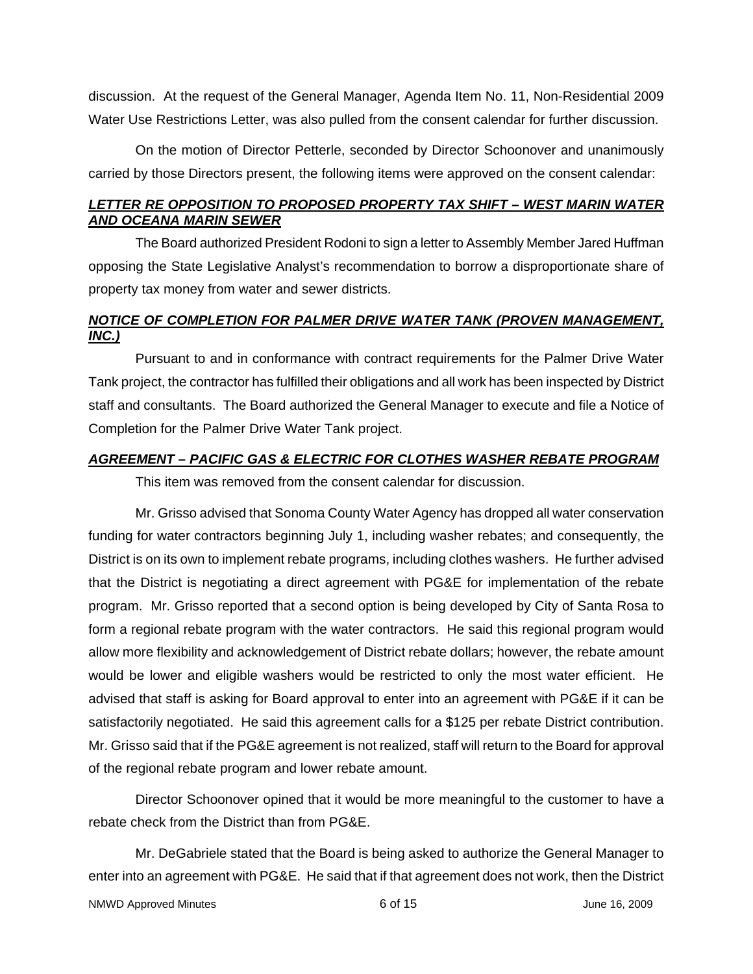discussion. At the request of the General Manager, Agenda Item No. 11, Non-Residential 2009 Water Use Restrictions Letter, was also pulled from the consent calendar for further discussion.

On the motion of Director Petterle, seconded by Director Schoonover and unanimously carried by those Directors present, the following items were approved on the consent calendar:

## *LETTER RE OPPOSITION TO PROPOSED PROPERTY TAX SHIFT – WEST MARIN WATER AND OCEANA MARIN SEWER*

The Board authorized President Rodoni to sign a letter to Assembly Member Jared Huffman opposing the State Legislative Analyst's recommendation to borrow a disproportionate share of property tax money from water and sewer districts.

# *NOTICE OF COMPLETION FOR PALMER DRIVE WATER TANK (PROVEN MANAGEMENT, INC.)*

Pursuant to and in conformance with contract requirements for the Palmer Drive Water Tank project, the contractor has fulfilled their obligations and all work has been inspected by District staff and consultants. The Board authorized the General Manager to execute and file a Notice of Completion for the Palmer Drive Water Tank project.

## *AGREEMENT – PACIFIC GAS & ELECTRIC FOR CLOTHES WASHER REBATE PROGRAM*

This item was removed from the consent calendar for discussion.

Mr. Grisso advised that Sonoma County Water Agency has dropped all water conservation funding for water contractors beginning July 1, including washer rebates; and consequently, the District is on its own to implement rebate programs, including clothes washers. He further advised that the District is negotiating a direct agreement with PG&E for implementation of the rebate program. Mr. Grisso reported that a second option is being developed by City of Santa Rosa to form a regional rebate program with the water contractors. He said this regional program would allow more flexibility and acknowledgement of District rebate dollars; however, the rebate amount would be lower and eligible washers would be restricted to only the most water efficient. He advised that staff is asking for Board approval to enter into an agreement with PG&E if it can be satisfactorily negotiated. He said this agreement calls for a \$125 per rebate District contribution. Mr. Grisso said that if the PG&E agreement is not realized, staff will return to the Board for approval of the regional rebate program and lower rebate amount.

Director Schoonover opined that it would be more meaningful to the customer to have a rebate check from the District than from PG&E.

Mr. DeGabriele stated that the Board is being asked to authorize the General Manager to enter into an agreement with PG&E. He said that if that agreement does not work, then the District

```
NMWD Approved Minutes and the control of the control of 15 and the control of the control of the control of the control of the control of the control of the control of the control of the control of the control of the contr
```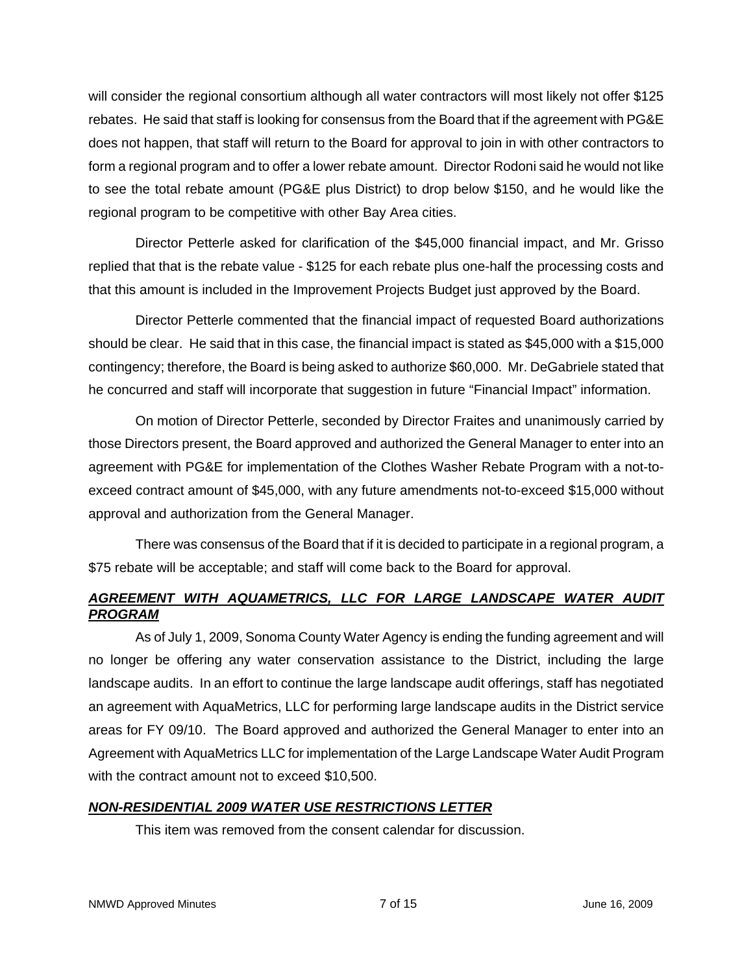will consider the regional consortium although all water contractors will most likely not offer \$125 rebates. He said that staff is looking for consensus from the Board that if the agreement with PG&E does not happen, that staff will return to the Board for approval to join in with other contractors to form a regional program and to offer a lower rebate amount. Director Rodoni said he would not like to see the total rebate amount (PG&E plus District) to drop below \$150, and he would like the regional program to be competitive with other Bay Area cities.

Director Petterle asked for clarification of the \$45,000 financial impact, and Mr. Grisso replied that that is the rebate value - \$125 for each rebate plus one-half the processing costs and that this amount is included in the Improvement Projects Budget just approved by the Board.

Director Petterle commented that the financial impact of requested Board authorizations should be clear. He said that in this case, the financial impact is stated as \$45,000 with a \$15,000 contingency; therefore, the Board is being asked to authorize \$60,000. Mr. DeGabriele stated that he concurred and staff will incorporate that suggestion in future "Financial Impact" information.

On motion of Director Petterle, seconded by Director Fraites and unanimously carried by those Directors present, the Board approved and authorized the General Manager to enter into an agreement with PG&E for implementation of the Clothes Washer Rebate Program with a not-toexceed contract amount of \$45,000, with any future amendments not-to-exceed \$15,000 without approval and authorization from the General Manager.

There was consensus of the Board that if it is decided to participate in a regional program, a \$75 rebate will be acceptable; and staff will come back to the Board for approval.

# *AGREEMENT WITH AQUAMETRICS, LLC FOR LARGE LANDSCAPE WATER AUDIT PROGRAM*

As of July 1, 2009, Sonoma County Water Agency is ending the funding agreement and will no longer be offering any water conservation assistance to the District, including the large landscape audits. In an effort to continue the large landscape audit offerings, staff has negotiated an agreement with AquaMetrics, LLC for performing large landscape audits in the District service areas for FY 09/10. The Board approved and authorized the General Manager to enter into an Agreement with AquaMetrics LLC for implementation of the Large Landscape Water Audit Program with the contract amount not to exceed \$10,500.

# *NON-RESIDENTIAL 2009 WATER USE RESTRICTIONS LETTER*

This item was removed from the consent calendar for discussion.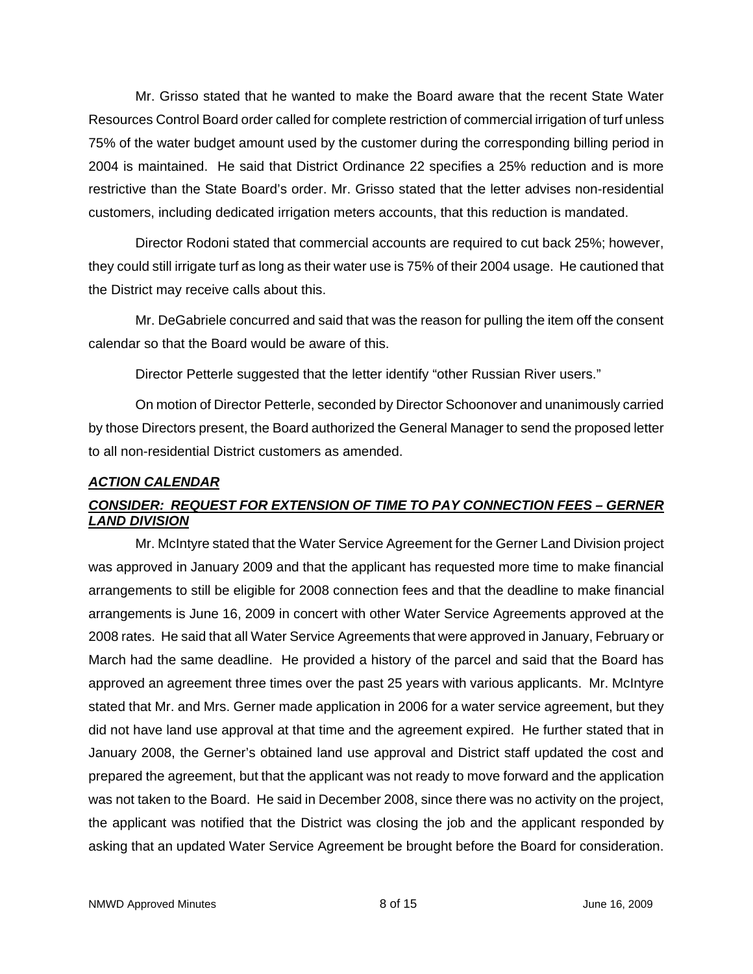Mr. Grisso stated that he wanted to make the Board aware that the recent State Water Resources Control Board order called for complete restriction of commercial irrigation of turf unless 75% of the water budget amount used by the customer during the corresponding billing period in 2004 is maintained. He said that District Ordinance 22 specifies a 25% reduction and is more restrictive than the State Board's order. Mr. Grisso stated that the letter advises non-residential customers, including dedicated irrigation meters accounts, that this reduction is mandated.

Director Rodoni stated that commercial accounts are required to cut back 25%; however, they could still irrigate turf as long as their water use is 75% of their 2004 usage. He cautioned that the District may receive calls about this.

Mr. DeGabriele concurred and said that was the reason for pulling the item off the consent calendar so that the Board would be aware of this.

Director Petterle suggested that the letter identify "other Russian River users."

On motion of Director Petterle, seconded by Director Schoonover and unanimously carried by those Directors present, the Board authorized the General Manager to send the proposed letter to all non-residential District customers as amended.

# *ACTION CALENDAR*

# *CONSIDER: REQUEST FOR EXTENSION OF TIME TO PAY CONNECTION FEES – GERNER LAND DIVISION*

Mr. McIntyre stated that the Water Service Agreement for the Gerner Land Division project was approved in January 2009 and that the applicant has requested more time to make financial arrangements to still be eligible for 2008 connection fees and that the deadline to make financial arrangements is June 16, 2009 in concert with other Water Service Agreements approved at the 2008 rates. He said that all Water Service Agreements that were approved in January, February or March had the same deadline. He provided a history of the parcel and said that the Board has approved an agreement three times over the past 25 years with various applicants. Mr. McIntyre stated that Mr. and Mrs. Gerner made application in 2006 for a water service agreement, but they did not have land use approval at that time and the agreement expired. He further stated that in January 2008, the Gerner's obtained land use approval and District staff updated the cost and prepared the agreement, but that the applicant was not ready to move forward and the application was not taken to the Board. He said in December 2008, since there was no activity on the project, the applicant was notified that the District was closing the job and the applicant responded by asking that an updated Water Service Agreement be brought before the Board for consideration.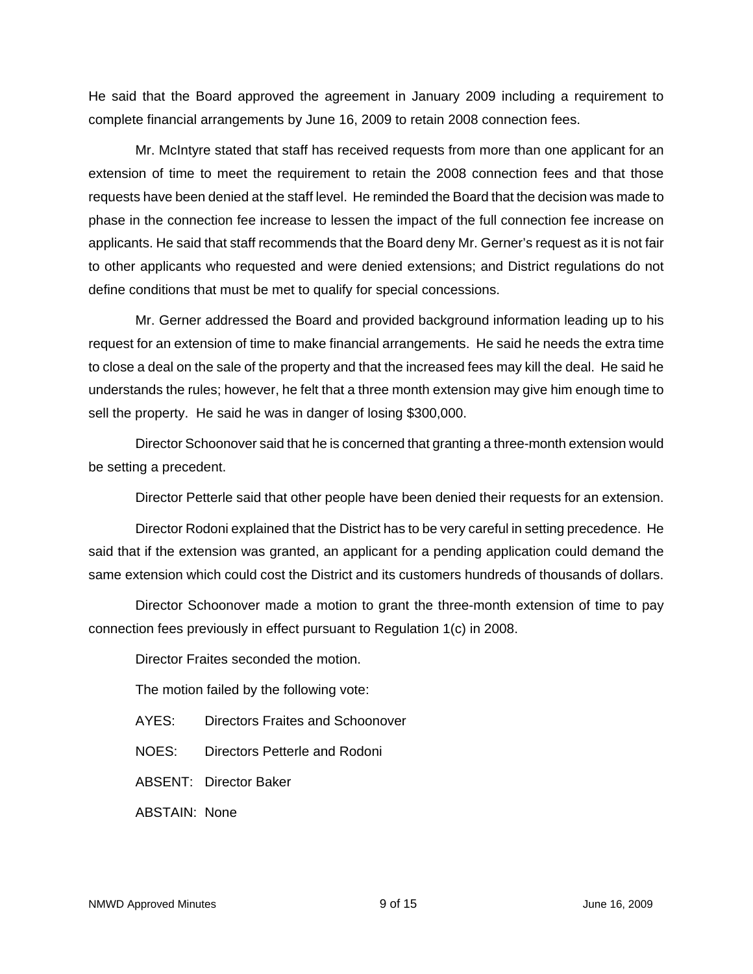He said that the Board approved the agreement in January 2009 including a requirement to complete financial arrangements by June 16, 2009 to retain 2008 connection fees.

Mr. McIntyre stated that staff has received requests from more than one applicant for an extension of time to meet the requirement to retain the 2008 connection fees and that those requests have been denied at the staff level. He reminded the Board that the decision was made to phase in the connection fee increase to lessen the impact of the full connection fee increase on applicants. He said that staff recommends that the Board deny Mr. Gerner's request as it is not fair to other applicants who requested and were denied extensions; and District regulations do not define conditions that must be met to qualify for special concessions.

Mr. Gerner addressed the Board and provided background information leading up to his request for an extension of time to make financial arrangements. He said he needs the extra time to close a deal on the sale of the property and that the increased fees may kill the deal. He said he understands the rules; however, he felt that a three month extension may give him enough time to sell the property. He said he was in danger of losing \$300,000.

Director Schoonover said that he is concerned that granting a three-month extension would be setting a precedent.

Director Petterle said that other people have been denied their requests for an extension.

Director Rodoni explained that the District has to be very careful in setting precedence. He said that if the extension was granted, an applicant for a pending application could demand the same extension which could cost the District and its customers hundreds of thousands of dollars.

Director Schoonover made a motion to grant the three-month extension of time to pay connection fees previously in effect pursuant to Regulation 1(c) in 2008.

Director Fraites seconded the motion.

The motion failed by the following vote:

- AYES: Directors Fraites and Schoonover
- NOES: Directors Petterle and Rodoni
- ABSENT: Director Baker

ABSTAIN: None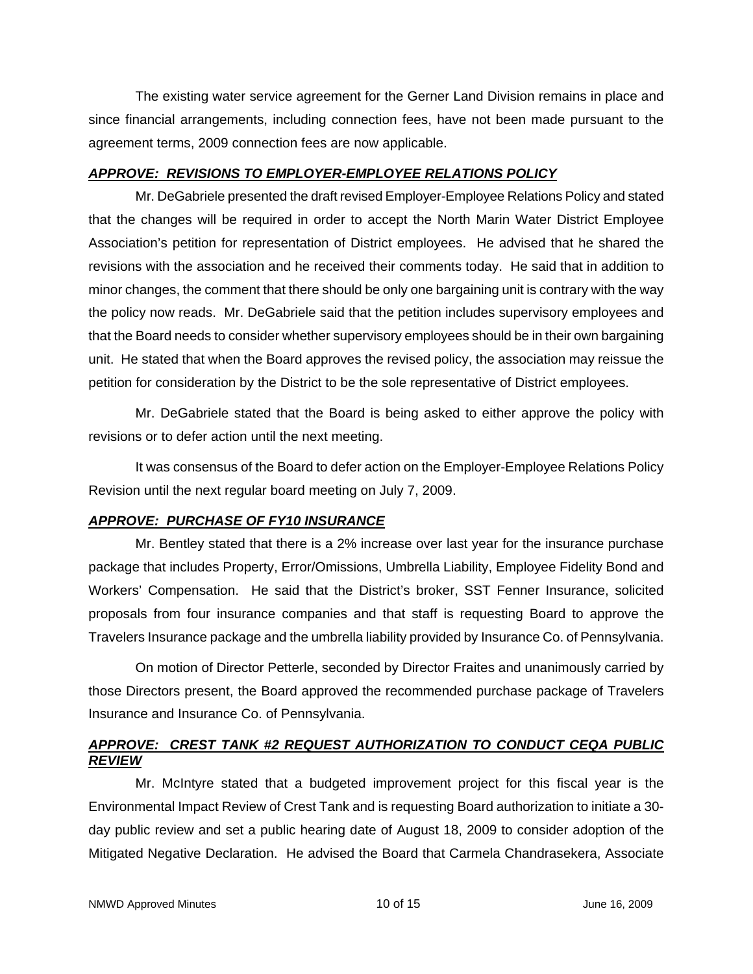The existing water service agreement for the Gerner Land Division remains in place and since financial arrangements, including connection fees, have not been made pursuant to the agreement terms, 2009 connection fees are now applicable.

### *APPROVE: REVISIONS TO EMPLOYER-EMPLOYEE RELATIONS POLICY*

Mr. DeGabriele presented the draft revised Employer-Employee Relations Policy and stated that the changes will be required in order to accept the North Marin Water District Employee Association's petition for representation of District employees. He advised that he shared the revisions with the association and he received their comments today. He said that in addition to minor changes, the comment that there should be only one bargaining unit is contrary with the way the policy now reads. Mr. DeGabriele said that the petition includes supervisory employees and that the Board needs to consider whether supervisory employees should be in their own bargaining unit. He stated that when the Board approves the revised policy, the association may reissue the petition for consideration by the District to be the sole representative of District employees.

Mr. DeGabriele stated that the Board is being asked to either approve the policy with revisions or to defer action until the next meeting.

It was consensus of the Board to defer action on the Employer-Employee Relations Policy Revision until the next regular board meeting on July 7, 2009.

# *APPROVE: PURCHASE OF FY10 INSURANCE*

Mr. Bentley stated that there is a 2% increase over last year for the insurance purchase package that includes Property, Error/Omissions, Umbrella Liability, Employee Fidelity Bond and Workers' Compensation. He said that the District's broker, SST Fenner Insurance, solicited proposals from four insurance companies and that staff is requesting Board to approve the Travelers Insurance package and the umbrella liability provided by Insurance Co. of Pennsylvania.

On motion of Director Petterle, seconded by Director Fraites and unanimously carried by those Directors present, the Board approved the recommended purchase package of Travelers Insurance and Insurance Co. of Pennsylvania.

## *APPROVE: CREST TANK #2 REQUEST AUTHORIZATION TO CONDUCT CEQA PUBLIC REVIEW*

Mr. McIntyre stated that a budgeted improvement project for this fiscal year is the Environmental Impact Review of Crest Tank and is requesting Board authorization to initiate a 30 day public review and set a public hearing date of August 18, 2009 to consider adoption of the Mitigated Negative Declaration. He advised the Board that Carmela Chandrasekera, Associate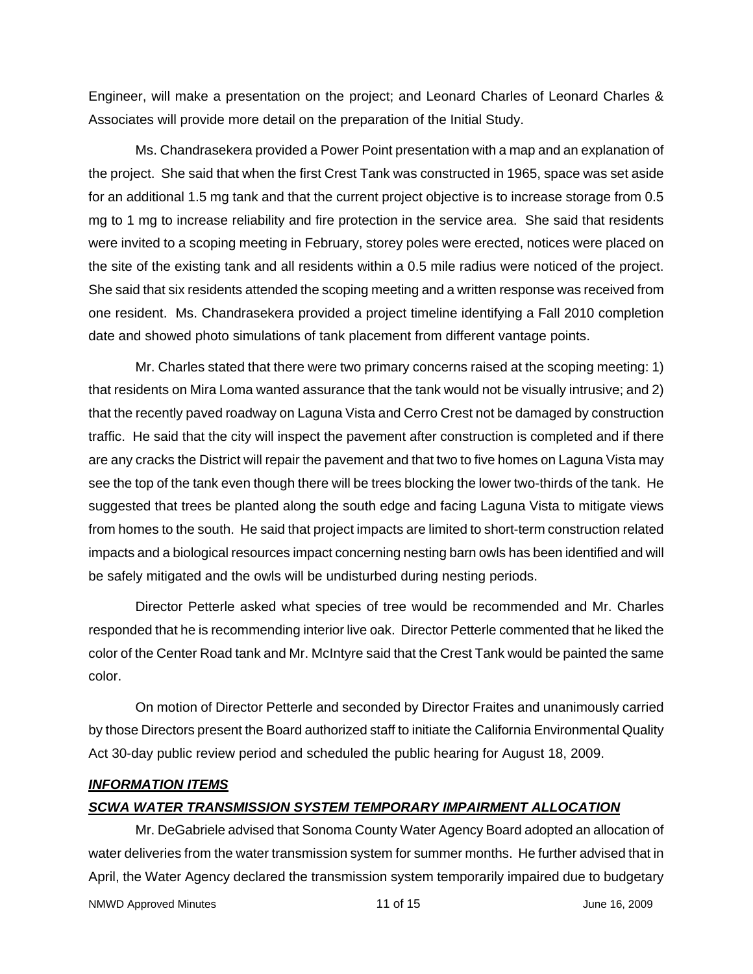Engineer, will make a presentation on the project; and Leonard Charles of Leonard Charles & Associates will provide more detail on the preparation of the Initial Study.

Ms. Chandrasekera provided a Power Point presentation with a map and an explanation of the project. She said that when the first Crest Tank was constructed in 1965, space was set aside for an additional 1.5 mg tank and that the current project objective is to increase storage from 0.5 mg to 1 mg to increase reliability and fire protection in the service area. She said that residents were invited to a scoping meeting in February, storey poles were erected, notices were placed on the site of the existing tank and all residents within a 0.5 mile radius were noticed of the project. She said that six residents attended the scoping meeting and a written response was received from one resident. Ms. Chandrasekera provided a project timeline identifying a Fall 2010 completion date and showed photo simulations of tank placement from different vantage points.

Mr. Charles stated that there were two primary concerns raised at the scoping meeting: 1) that residents on Mira Loma wanted assurance that the tank would not be visually intrusive; and 2) that the recently paved roadway on Laguna Vista and Cerro Crest not be damaged by construction traffic. He said that the city will inspect the pavement after construction is completed and if there are any cracks the District will repair the pavement and that two to five homes on Laguna Vista may see the top of the tank even though there will be trees blocking the lower two-thirds of the tank. He suggested that trees be planted along the south edge and facing Laguna Vista to mitigate views from homes to the south. He said that project impacts are limited to short-term construction related impacts and a biological resources impact concerning nesting barn owls has been identified and will be safely mitigated and the owls will be undisturbed during nesting periods.

Director Petterle asked what species of tree would be recommended and Mr. Charles responded that he is recommending interior live oak. Director Petterle commented that he liked the color of the Center Road tank and Mr. McIntyre said that the Crest Tank would be painted the same color.

On motion of Director Petterle and seconded by Director Fraites and unanimously carried by those Directors present the Board authorized staff to initiate the California Environmental Quality Act 30-day public review period and scheduled the public hearing for August 18, 2009.

#### *INFORMATION ITEMS*

#### *SCWA WATER TRANSMISSION SYSTEM TEMPORARY IMPAIRMENT ALLOCATION*

NMWD Approved Minutes and the control of the 11 of 15 and 11 of 15 and 10 June 16, 2009 Mr. DeGabriele advised that Sonoma County Water Agency Board adopted an allocation of water deliveries from the water transmission system for summer months. He further advised that in April, the Water Agency declared the transmission system temporarily impaired due to budgetary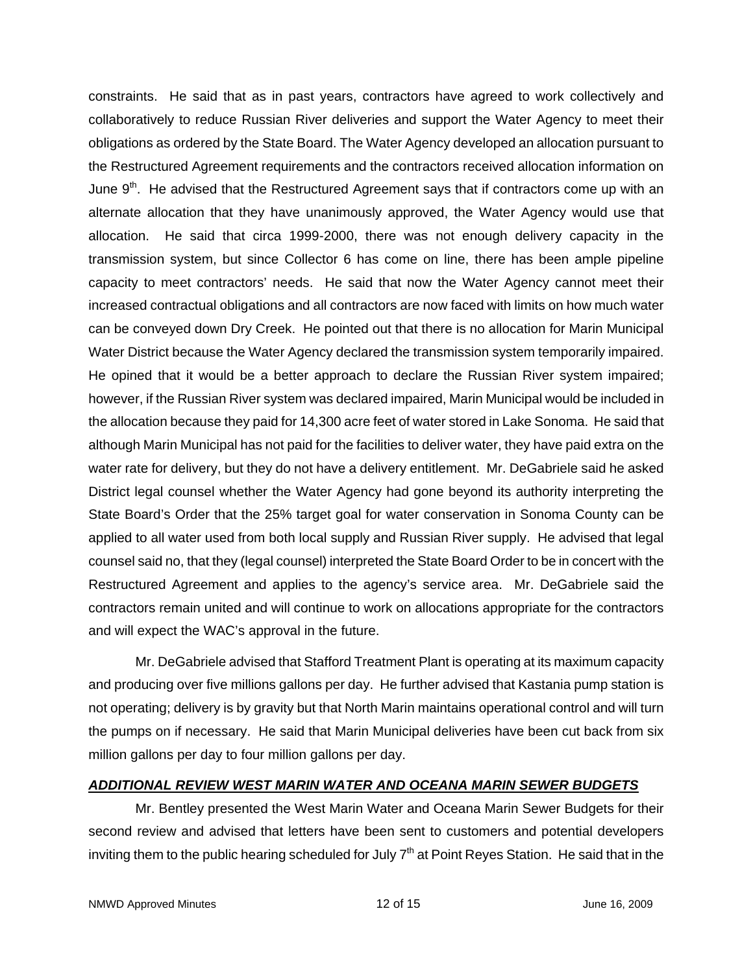constraints. He said that as in past years, contractors have agreed to work collectively and collaboratively to reduce Russian River deliveries and support the Water Agency to meet their obligations as ordered by the State Board. The Water Agency developed an allocation pursuant to the Restructured Agreement requirements and the contractors received allocation information on June  $9<sup>th</sup>$ . He advised that the Restructured Agreement says that if contractors come up with an alternate allocation that they have unanimously approved, the Water Agency would use that allocation. He said that circa 1999-2000, there was not enough delivery capacity in the transmission system, but since Collector 6 has come on line, there has been ample pipeline capacity to meet contractors' needs. He said that now the Water Agency cannot meet their increased contractual obligations and all contractors are now faced with limits on how much water can be conveyed down Dry Creek. He pointed out that there is no allocation for Marin Municipal Water District because the Water Agency declared the transmission system temporarily impaired. He opined that it would be a better approach to declare the Russian River system impaired; however, if the Russian River system was declared impaired, Marin Municipal would be included in the allocation because they paid for 14,300 acre feet of water stored in Lake Sonoma. He said that although Marin Municipal has not paid for the facilities to deliver water, they have paid extra on the water rate for delivery, but they do not have a delivery entitlement. Mr. DeGabriele said he asked District legal counsel whether the Water Agency had gone beyond its authority interpreting the State Board's Order that the 25% target goal for water conservation in Sonoma County can be applied to all water used from both local supply and Russian River supply. He advised that legal counsel said no, that they (legal counsel) interpreted the State Board Order to be in concert with the Restructured Agreement and applies to the agency's service area. Mr. DeGabriele said the contractors remain united and will continue to work on allocations appropriate for the contractors and will expect the WAC's approval in the future.

Mr. DeGabriele advised that Stafford Treatment Plant is operating at its maximum capacity and producing over five millions gallons per day. He further advised that Kastania pump station is not operating; delivery is by gravity but that North Marin maintains operational control and will turn the pumps on if necessary. He said that Marin Municipal deliveries have been cut back from six million gallons per day to four million gallons per day.

### *ADDITIONAL REVIEW WEST MARIN WATER AND OCEANA MARIN SEWER BUDGETS*

Mr. Bentley presented the West Marin Water and Oceana Marin Sewer Budgets for their second review and advised that letters have been sent to customers and potential developers inviting them to the public hearing scheduled for July  $7<sup>th</sup>$  at Point Reyes Station. He said that in the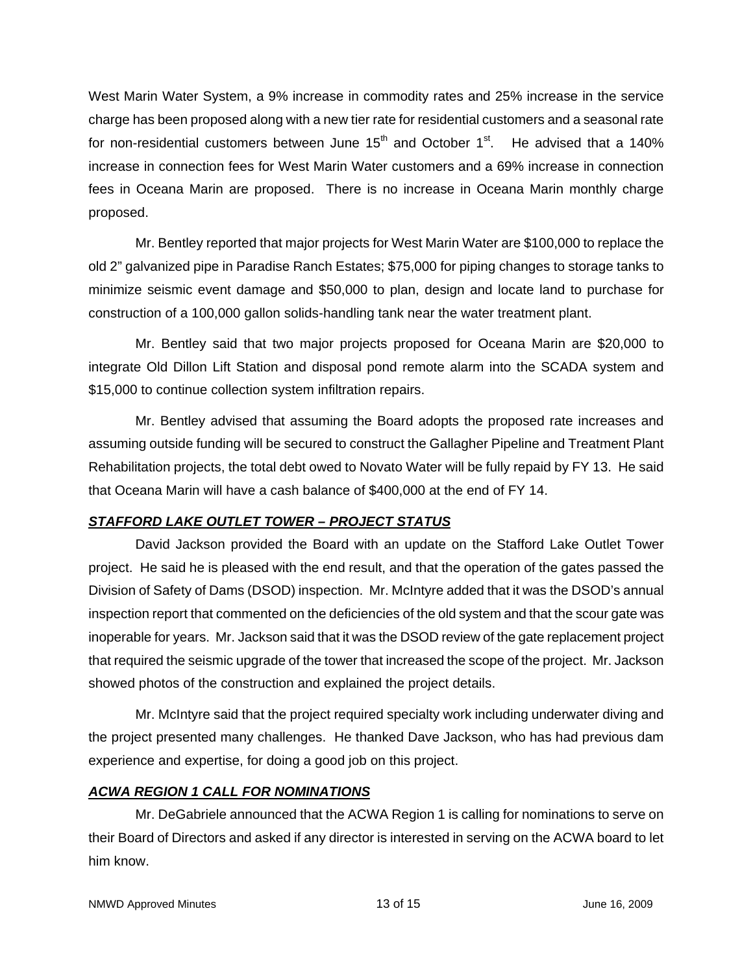West Marin Water System, a 9% increase in commodity rates and 25% increase in the service charge has been proposed along with a new tier rate for residential customers and a seasonal rate for non-residential customers between June  $15<sup>th</sup>$  and October  $1<sup>st</sup>$ . He advised that a 140% increase in connection fees for West Marin Water customers and a 69% increase in connection fees in Oceana Marin are proposed. There is no increase in Oceana Marin monthly charge proposed.

Mr. Bentley reported that major projects for West Marin Water are \$100,000 to replace the old 2" galvanized pipe in Paradise Ranch Estates; \$75,000 for piping changes to storage tanks to minimize seismic event damage and \$50,000 to plan, design and locate land to purchase for construction of a 100,000 gallon solids-handling tank near the water treatment plant.

Mr. Bentley said that two major projects proposed for Oceana Marin are \$20,000 to integrate Old Dillon Lift Station and disposal pond remote alarm into the SCADA system and \$15,000 to continue collection system infiltration repairs.

Mr. Bentley advised that assuming the Board adopts the proposed rate increases and assuming outside funding will be secured to construct the Gallagher Pipeline and Treatment Plant Rehabilitation projects, the total debt owed to Novato Water will be fully repaid by FY 13. He said that Oceana Marin will have a cash balance of \$400,000 at the end of FY 14.

# *STAFFORD LAKE OUTLET TOWER – PROJECT STATUS*

David Jackson provided the Board with an update on the Stafford Lake Outlet Tower project. He said he is pleased with the end result, and that the operation of the gates passed the Division of Safety of Dams (DSOD) inspection. Mr. McIntyre added that it was the DSOD's annual inspection report that commented on the deficiencies of the old system and that the scour gate was inoperable for years. Mr. Jackson said that it was the DSOD review of the gate replacement project that required the seismic upgrade of the tower that increased the scope of the project. Mr. Jackson showed photos of the construction and explained the project details.

Mr. McIntyre said that the project required specialty work including underwater diving and the project presented many challenges. He thanked Dave Jackson, who has had previous dam experience and expertise, for doing a good job on this project.

# *ACWA REGION 1 CALL FOR NOMINATIONS*

Mr. DeGabriele announced that the ACWA Region 1 is calling for nominations to serve on their Board of Directors and asked if any director is interested in serving on the ACWA board to let him know.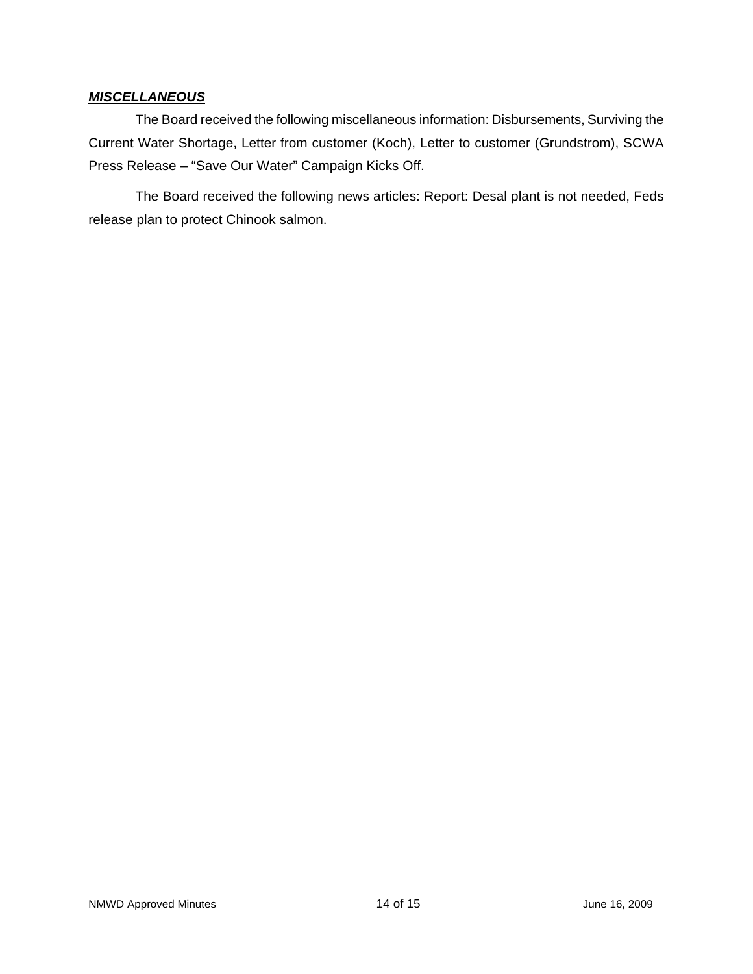### *MISCELLANEOUS*

The Board received the following miscellaneous information: Disbursements, Surviving the Current Water Shortage, Letter from customer (Koch), Letter to customer (Grundstrom), SCWA Press Release – "Save Our Water" Campaign Kicks Off.

The Board received the following news articles: Report: Desal plant is not needed, Feds release plan to protect Chinook salmon.